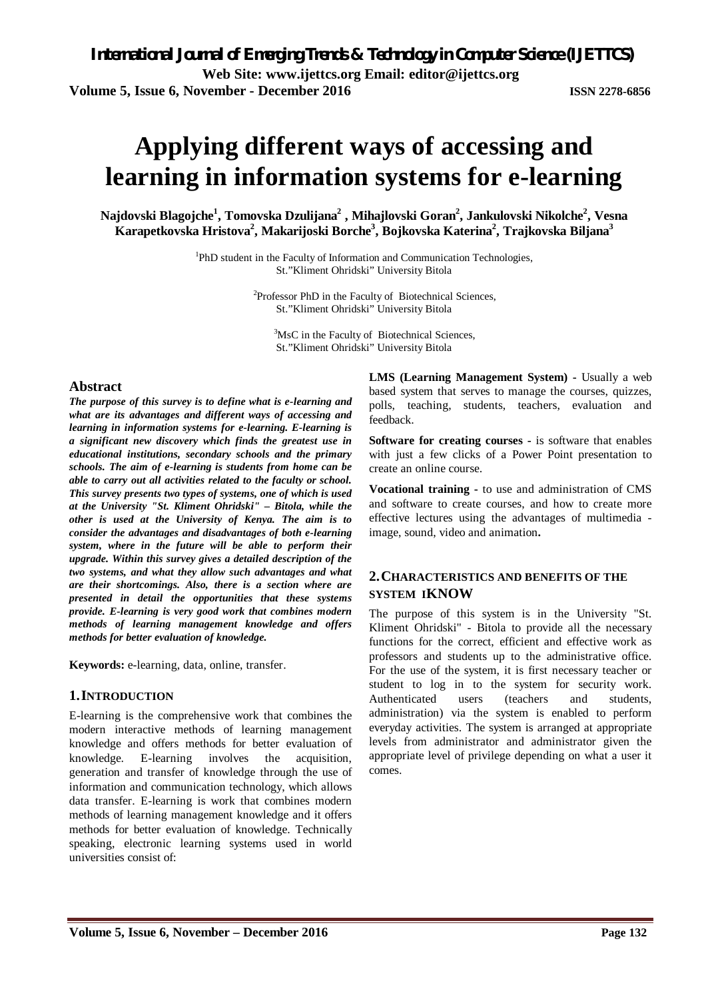# **Applying different ways of accessing and learning in information systems for e-learning**

**Najdovski Blagojche<sup>1</sup> , Tomovska Dzulijana<sup>2</sup> , Mihajlovski Goran<sup>2</sup> , Jankulovski Nikolche<sup>2</sup> , Vesna Karapetkovska Hristova<sup>2</sup> , Makarijoski Borche<sup>3</sup> , Bojkovska Katerina<sup>2</sup> , Trajkovska Biljana<sup>3</sup>**

> <sup>1</sup>PhD student in the Faculty of Information and Communication Technologies, St."Kliment Ohridski" University Bitola

> > <sup>2</sup>Professor PhD in the Faculty of Biotechnical Sciences, St."Kliment Ohridski" University Bitola

<sup>3</sup>MsC in the Faculty of Biotechnical Sciences, St."Kliment Ohridski" University Bitola

### **Abstract**

*The purpose of this survey is to define what is e-learning and what are its advantages and different ways of accessing and learning in information systems for e-learning. E-learning is a significant new discovery which finds the greatest use in educational institutions, secondary schools and the primary schools. The aim of e-learning is students from home can be able to carry out all activities related to the faculty or school. This survey presents two types of systems, one of which is used at the University "St. Kliment Ohridski" – Bitola, while the other is used at the University of Kenya. The aim is to consider the advantages and disadvantages of both e-learning system, where in the future will be able to perform their upgrade. Within this survey gives a detailed description of the two systems, and what they allow such advantages and what are their shortcomings. Also, there is a section where are presented in detail the opportunities that these systems provide. E-learning is very good work that combines modern methods of learning management knowledge and offers methods for better evaluation of knowledge.*

**Keywords:** e-learning, data, online, transfer.

#### **1.INTRODUCTION**

E-learning is the comprehensive work that combines the modern interactive methods of learning management knowledge and offers methods for better evaluation of knowledge. E-learning involves the acquisition, generation and transfer of knowledge through the use of information and communication technology, which allows data transfer. E-learning is work that combines modern methods of learning management knowledge and it offers methods for better evaluation of knowledge. Technically speaking, electronic learning systems used in world universities consist of:

**LMS (Learning Management System) -** Usually a web based system that serves to manage the courses, quizzes, polls, teaching, students, teachers, evaluation and feedback.

**Software for creating courses -** is software that enables with just a few clicks of a Power Point presentation to create an online course.

**Vocational training -** to use and administration of CMS and software to create courses, and how to create more effective lectures using the advantages of multimedia image, sound, video and animation**.**

# **2.CHARACTERISTICS AND BENEFITS OF THE SYSTEM IKNOW**

The purpose of this system is in the University "St. Kliment Ohridski" - Bitola to provide all the necessary functions for the correct, efficient and effective work as professors and students up to the administrative office. For the use of the system, it is first necessary teacher or student to log in to the system for security work. Authenticated users (teachers and students, administration) via the system is enabled to perform everyday activities. The system is arranged at appropriate levels from administrator and administrator given the appropriate level of privilege depending on what a user it comes.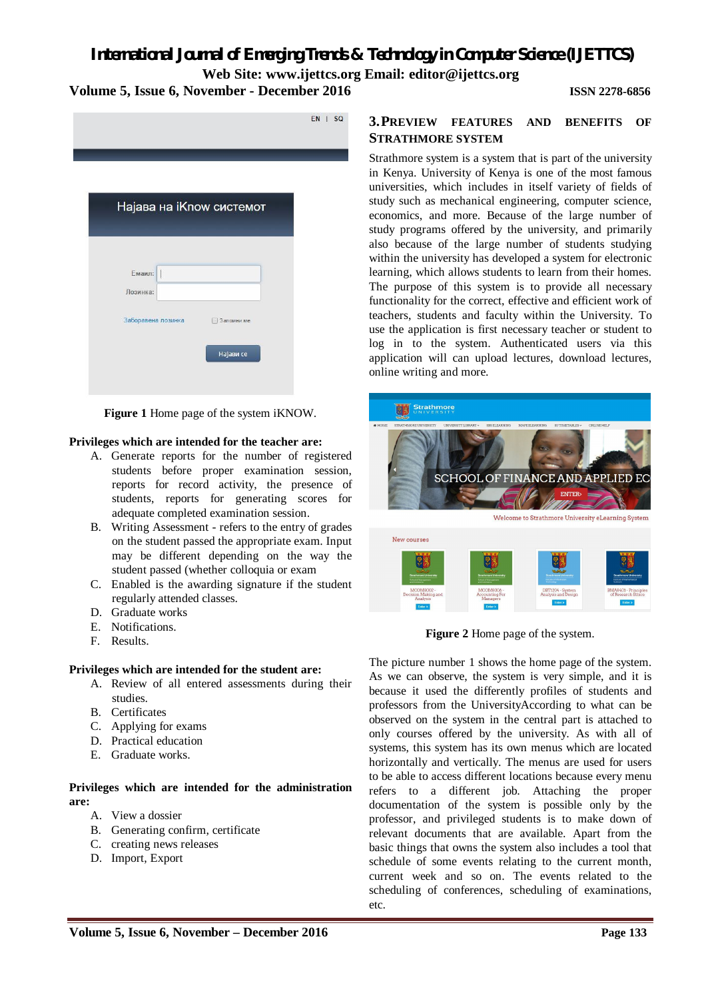|                                                | EN<br>S |
|------------------------------------------------|---------|
|                                                |         |
| Најава на iKnow системот                       |         |
| Емаил:<br>I                                    |         |
| Лозинка:                                       |         |
| Заборавена лозинка<br>Запомни ме.<br>Најави се |         |

**Figure 1** Home page of the system iKNOW.

#### **Privileges which are intended for the teacher are:**

- A. Generate reports for the number of registered students before proper examination session, reports for record activity, the presence of students, reports for generating scores for adequate completed examination session.
- B. Writing Assessment refers to the entry of grades on the student passed the appropriate exam. Input may be different depending on the way the student passed (whether colloquia or exam
- C. Enabled is the awarding signature if the student regularly attended classes.
- D. Graduate works
- E. Notifications.
- F. Results.

#### **Privileges which are intended for the student are:**

- A. Review of all entered assessments during their studies.
- B. Certificates
- C. Applying for exams
- D. Practical education
- E. Graduate works.

#### **Privileges which are intended for the administration are:**

- A. View a dossier
- B. Generating confirm, certificate
- C. creating news releases
- D. Import, Export

### **3.PREVIEW FEATURES AND BENEFITS OF STRATHMORE SYSTEM**

Strathmore system is a system that is part of the university in Kenya. University of Kenya is one of the most famous universities, which includes in itself variety of fields of study such as mechanical engineering, computer science, economics, and more. Because of the large number of study programs offered by the university, and primarily also because of the large number of students studying within the university has developed a system for electronic learning, which allows students to learn from their homes. The purpose of this system is to provide all necessary functionality for the correct, effective and efficient work of teachers, students and faculty within the University. To use the application is first necessary teacher or student to log in to the system. Authenticated users via this application will can upload lectures, download lectures, online writing and more.



**Figure 2** Home page of the system.

The picture number 1 shows the home page of the system. As we can observe, the system is very simple, and it is because it used the differently profiles of students and professors from the UniversityAccording to what can be observed on the system in the central part is attached to only courses offered by the university. As with all of systems, this system has its own menus which are located horizontally and vertically. The menus are used for users to be able to access different locations because every menu refers to a different job. Attaching the proper documentation of the system is possible only by the professor, and privileged students is to make down of relevant documents that are available. Apart from the basic things that owns the system also includes a tool that schedule of some events relating to the current month, current week and so on. The events related to the scheduling of conferences, scheduling of examinations, etc.